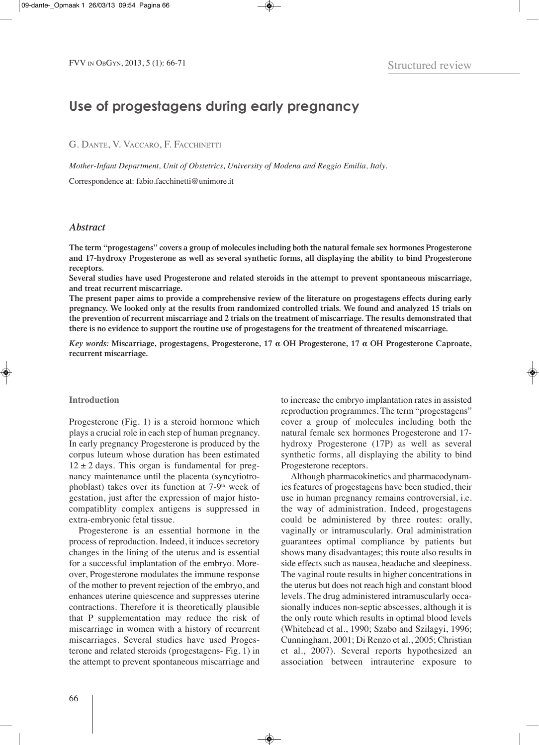# **Use of progestagens during early pregnancy**

G. Dante, V. VaccarO, F. Facchinetti

*Mother-Infant Department, Unit of Obstetrics, University of Modena and Reggio Emilia, Italy.*

correspondence at: fabio.facchinetti@unimore.it

## *Abstract*

**The term "progestagens" covers a group of molecules including both the natural female sex hormones Progesterone and 17-hydroxy Progesterone as well as several synthetic forms, all displaying the ability to bind Progesterone receptors.**

**Several studies have used Progesterone and related steroids in the attempt to prevent spontaneous miscarriage, and treat recurrent miscarriage.**

The present paper aims to provide a comprehensive review of the literature on progestagens effects during early pregnancy. We looked only at the results from randomized controlled trials. We found and analyzed 15 trials on the prevention of recurrent miscarriage and 2 trials on the treatment of miscarriage. The results demonstrated that there is no evidence to support the routine use of progestagens for the treatment of threatened miscarriage.

*Key words:* **Miscarriage, progestagens, Progesterone, 17 α OH Progesterone, 17 α OH Progesterone Caproate, recurrent miscarriage.**

### **Introduction**

Progesterone (Fig. 1) is a steroid hormone which plays a crucial role in each step of human pregnancy. In early pregnancy Progesterone is produced by the corpus luteum whose duration has been estimated  $12 \pm 2$  days. This organ is fundamental for pregnancy maintenance until the placenta (syncytiotrophoblast) takes over its function at 7-9<sup>th</sup> week of gestation, just after the expression of major histocompatiblity complex antigens is suppressed in extra-embryonic fetal tissue.

Progesterone is an essential hormone in the process of reproduction. Indeed, it induces secretory changes in the lining of the uterus and is essential for a successful implantation of the embryo. Moreover, Progesterone modulates the immune response of the mother to prevent rejection of the embryo, and enhances uterine quiescence and suppresses uterine contractions. Therefore it is theoretically plausible that P supplementation may reduce the risk of miscarriage in women with a history of recurrent miscarriages. Several studies have used Progesterone and related steroids (progestagens- Fig. 1) in the attempt to prevent spontaneous miscarriage and to increase the embryo implantation rates in assisted reproduction programmes. The term "progestagens" cover a group of molecules including both the natural female sex hormones Progesterone and 17 hydroxy Progesterone (17P) as well as several synthetic forms, all displaying the ability to bind Progesterone receptors.

although pharmacokinetics and pharmacodynamics features of progestagens have been studied, their use in human pregnancy remains controversial, i.e. the way of administration. Indeed, progestagens could be administered by three routes: orally, vaginally or intramuscularly. Oral administration guarantees optimal compliance by patients but shows many disadvantages; this route also results in side effects such as nausea, headache and sleepiness. The vaginal route results in higher concentrations in the uterus but does not reach high and constant blood levels. The drug administered intramuscularly occasionally induces non-septic abscesses, although it is the only route which results in optimal blood levels (Whitehead et al., 1990; Szabo and Szilagyi, 1996; Cunningham, 2001; Di Renzo et al., 2005; Christian et al., 2007). Several reports hypothesized an association between intrauterine exposure to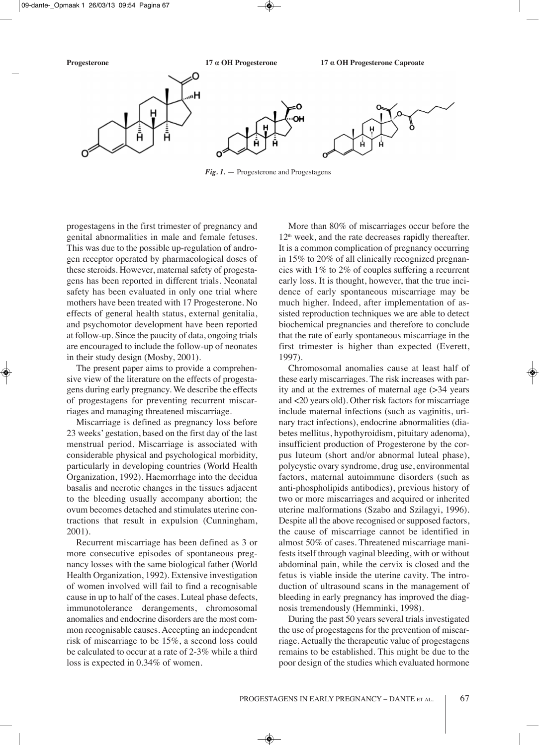

*Fig. 1.* — Progesterone and Progestagens

progestagens in the first trimester of pregnancy and genital abnormalities in male and female fetuses. This was due to the possible up-regulation of androgen receptor operated by pharmacological doses of these steroids. however, maternal safety of progestagens has been reported in different trials. Neonatal safety has been evaluated in only one trial where mothers have been treated with 17 Progesterone. No effects of general health status, external genitalia, and psychomotor development have been reported at follow-up. Since the paucity of data, ongoing trials are encouraged to include the follow-up of neonates in their study design (Mosby, 2001).

The present paper aims to provide a comprehensive view of the literature on the effects of progestagens during early pregnancy. We describe the effects of progestagens for preventing recurrent miscarriages and managing threatened miscarriage.

Miscarriage is defined as pregnancy loss before 23 weeks' gestation, based on the first day of the last menstrual period. Miscarriage is associated with considerable physical and psychological morbidity, particularly in developing countries (World Health Organization, 1992). Haemorrhage into the decidua basalis and necrotic changes in the tissues adjacent to the bleeding usually accompany abortion; the ovum becomes detached and stimulates uterine contractions that result in expulsion (Cunningham, 2001).

Recurrent miscarriage has been defined as 3 or more consecutive episodes of spontaneous pregnancy losses with the same biological father (World Health Organization, 1992). Extensive investigation of women involved will fail to find a recognisable cause in up to half of the cases. Luteal phase defects, immunotolerance derangements, chromosomal anomalies and endocrine disorders are the most common recognisable causes. Accepting an independent risk of miscarriage to be 15%, a second loss could be calculated to occur at a rate of 2-3% while a third loss is expected in 0.34% of women.

More than 80% of miscarriages occur before the  $12<sup>th</sup>$  week, and the rate decreases rapidly thereafter. It is a common complication of pregnancy occurring in 15% to 20% of all clinically recognized pregnancies with 1% to 2% of couples suffering a recurrent early loss. It is thought, however, that the true incidence of early spontaneous miscarriage may be much higher. Indeed, after implementation of assisted reproduction techniques we are able to detect biochemical pregnancies and therefore to conclude that the rate of early spontaneous miscarriage in the first trimester is higher than expected (Everett, 1997).

chromosomal anomalies cause at least half of these early miscarriages. The risk increases with parity and at the extremes of maternal age (>34 years and <20 years old). Other risk factors for miscarriage include maternal infections (such as vaginitis, urinary tract infections), endocrine abnormalities (diabetes mellitus, hypothyroidism, pituitary adenoma), insufficient production of Progesterone by the corpus luteum (short and/or abnormal luteal phase), polycystic ovary syndrome, drug use, environmental factors, maternal autoimmune disorders (such as anti-phospholipids antibodies), previous history of two or more miscarriages and acquired or inherited uterine malformations (Szabo and Szilagyi, 1996). Despite all the above recognised or supposed factors, the cause of miscarriage cannot be identified in almost 50% of cases. Threatened miscarriage manifests itself through vaginal bleeding, with or without abdominal pain, while the cervix is closed and the fetus is viable inside the uterine cavity. The introduction of ultrasound scans in the management of bleeding in early pregnancy has improved the diagnosis tremendously (hemminki, 1998).

During the past 50 years several trials investigated the use of progestagens for the prevention of miscarriage. Actually the therapeutic value of progestagens remains to be established. This might be due to the poor design of the studies which evaluated hormone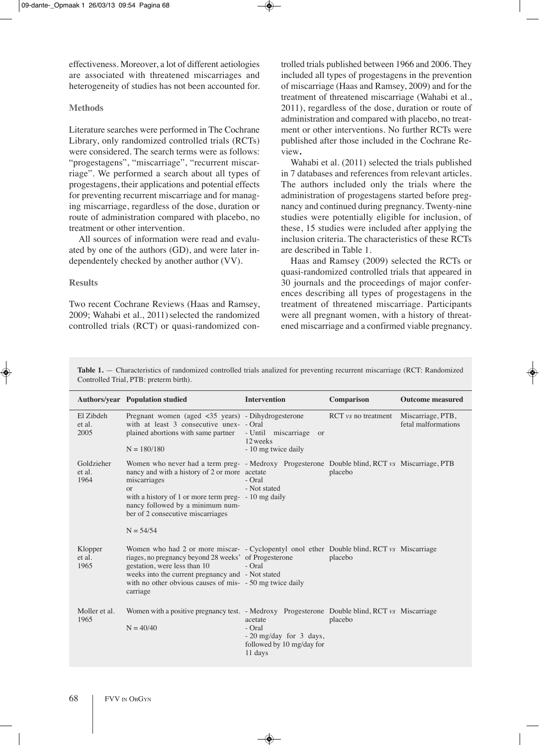effectiveness. Moreover, a lot of different aetiologies are associated with threatened miscarriages and heterogeneity of studies has not been accounted for.

## **Methods**

Literature searches were performed in The Cochrane Library, only randomized controlled trials (RCTs) were considered. The search terms were as follows: "progestagens", "miscarriage", "recurrent miscarriage". We performed a search about all types of progestagens, their applications and potential effects for preventing recurrent miscarriage and for managing miscarriage, regardless of the dose, duration or route of administration compared with placebo, no treatment or other intervention.

All sources of information were read and evaluated by one of the authors (GD), and were later independentely checked by another author (VV).

## **Results**

Two recent Cochrane Reviews (Haas and Ramsey, 2009; Wahabi et al., 2011) selected the randomized controlled trials (RCT) or quasi-randomized controlled trials published between 1966 and 2006. They included all types of progestagens in the prevention of miscarriage (Haas and Ramsey, 2009) and for the treatment of threatened miscarriage (Wahabi et al., 2011), regardless of the dose, duration or route of administration and compared with placebo, no treatment or other interventions. No further RCTs were published after those included in the Cochrane Review**.**

Wahabi et al. (2011) selected the trials published in 7 databases and references from relevant articles. The authors included only the trials where the administration of progestagens started before pregnancy and continued during pregnancy. Twenty-nine studies were potentially eligible for inclusion, of these, 15 studies were included after applying the inclusion criteria. The characteristics of these  $\text{RCTs}$ are described in Table 1.

Haas and Ramsey (2009) selected the RCTs or quasi-randomized controlled trials that appeared in 30 journals and the proceedings of major conferences describing all types of progestagens in the treatment of threatened miscarriage. Participants were all pregnant women, with a history of threatened miscarriage and a confirmed viable pregnancy.

**Table 1.** — Characteristics of randomized controlled trials analized for preventing recurrent miscarriage (RCT: Randomized Controlled Trial, PTB: preterm birth).

|                              | <b>Authors/year</b> Population studied                                                                                                                                                                                                                                                                                | <b>Intervention</b>                                                                   | Comparison                          | <b>Outcome measured</b>                  |
|------------------------------|-----------------------------------------------------------------------------------------------------------------------------------------------------------------------------------------------------------------------------------------------------------------------------------------------------------------------|---------------------------------------------------------------------------------------|-------------------------------------|------------------------------------------|
| El Zibdeh<br>et al.<br>2005  | Pregnant women (aged $\langle 35 \rangle$ years) - Dihydrogesterone<br>with at least 3 consecutive unex- - Oral<br>plained abortions with same partner<br>$N = 180/180$                                                                                                                                               | - Until miscarriage<br>or<br>12 weeks<br>- 10 mg twice daily                          | $\text{RCT}$ <i>vs</i> no treatment | Miscarriage, PTB,<br>fetal malformations |
| Goldzieher<br>et al.<br>1964 | Women who never had a term preg- - Medroxy Progesterone Double blind, RCT vs Miscarriage, PTB<br>nancy and with a history of 2 or more acetate<br>miscarriages<br>or<br>with a history of 1 or more term preg- $-10$ mg daily<br>nancy followed by a minimum num-<br>ber of 2 consecutive miscarriages<br>$N = 54/54$ | - Oral<br>- Not stated                                                                | placebo                             |                                          |
| Klopper<br>et al.<br>1965    | Women who had 2 or more miscar- - Cyclopentyl onol ether Double blind, RCT vs Miscarriage<br>riages, no pregnancy beyond 28 weeks' of Progesterone<br>gestation, were less than 10<br>weeks into the current pregnancy and - Not stated<br>with no other obvious causes of mis- - 50 mg twice daily<br>carriage       | - Oral                                                                                | placebo                             |                                          |
| Moller et al.<br>1965        | Women with a positive pregnancy test. - Medroxy Progesterone Double blind, RCT vs Miscarriage<br>$N = 40/40$                                                                                                                                                                                                          | acetate<br>- Oral<br>$-20$ mg/day for 3 days,<br>followed by 10 mg/day for<br>11 days | placebo                             |                                          |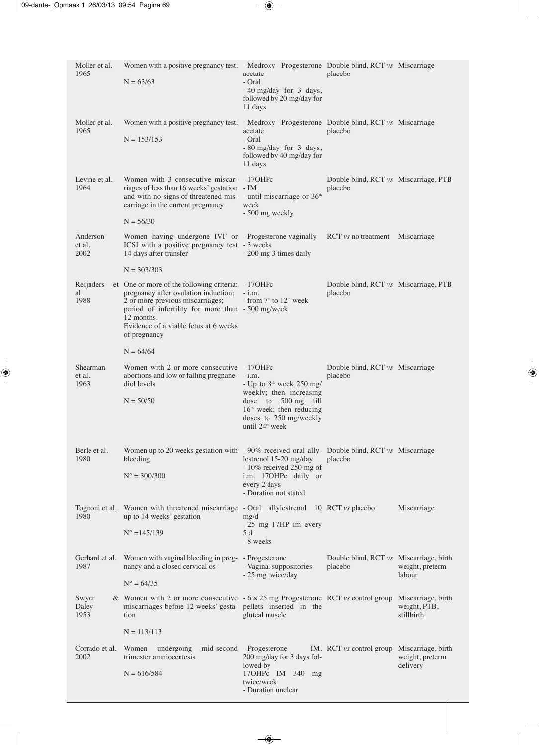| Moller et al.<br>1965      | Women with a positive pregnancy test. - Medroxy Progesterone Double blind, RCT vs Miscarriage<br>$N = 63/63$                                                                                                                                               | acetate<br>- Oral<br>- 40 mg/day for 3 days,<br>followed by 20 mg/day for<br>11 days                                                                                | placebo                                            |                             |
|----------------------------|------------------------------------------------------------------------------------------------------------------------------------------------------------------------------------------------------------------------------------------------------------|---------------------------------------------------------------------------------------------------------------------------------------------------------------------|----------------------------------------------------|-----------------------------|
| Moller et al.<br>1965      | Women with a positive pregnancy test. - Medroxy Progesterone Double blind, RCT vs Miscarriage<br>$N = 153/153$                                                                                                                                             | acetate<br>- Oral<br>- 80 mg/day for 3 days,<br>followed by 40 mg/day for<br>11 days                                                                                | placebo                                            |                             |
| Levine et al.<br>1964      | Women with 3 consecutive miscar- - 170HPc<br>riages of less than 16 weeks' gestation - IM<br>and with no signs of threatened mis- - until miscarriage or $36th$<br>carriage in the current pregnancy<br>$N = 56/30$                                        | week<br>- 500 mg weekly                                                                                                                                             | Double blind, RCT vs Miscarriage, PTB<br>placebo   |                             |
| Anderson<br>et al.<br>2002 | Women having undergone IVF or - Progesterone vaginally RCT vs no treatment Miscarriage<br>ICSI with a positive pregnancy test - 3 weeks<br>14 days after transfer                                                                                          | - 200 mg 3 times daily                                                                                                                                              |                                                    |                             |
|                            | $N = 303/303$                                                                                                                                                                                                                                              |                                                                                                                                                                     |                                                    |                             |
| Reijnders<br>al.<br>1988   | et One or more of the following criteria: - 17OHPc<br>pregnancy after ovulation induction;<br>2 or more previous miscarriages;<br>period of infertility for more than - 500 mg/week<br>12 months.<br>Evidence of a viable fetus at 6 weeks<br>of pregnancy | $- i.m.$<br>- from $7th$ to $12th$ week                                                                                                                             | Double blind, RCT vs Miscarriage, PTB<br>placebo   |                             |
|                            | $N = 64/64$                                                                                                                                                                                                                                                |                                                                                                                                                                     |                                                    |                             |
| Shearman<br>et al.<br>1963 | Women with 2 or more consecutive - 170HPc<br>abortions and low or falling pregnane- - i.m.<br>diol levels<br>$N = 50/50$                                                                                                                                   | - Up to $8th$ week 250 mg/<br>weekly; then increasing<br>dose to 500 mg till<br>$16th$ week; then reducing<br>doses to 250 mg/weekly<br>until 24 <sup>th</sup> week | Double blind, RCT vs Miscarriage<br>placebo        |                             |
| Berle et al.<br>1980       | Women up to 20 weeks gestation with - 90% received oral ally- Double blind, RCT vs Miscarriage<br>bleeding<br>$N^{\circ} = 300/300$                                                                                                                        | lestrenol 15-20 mg/day<br>$-10\%$ received 250 mg of<br>i.m. 17OHPc daily or<br>every 2 days<br>- Duration not stated                                               | placebo                                            |                             |
| 1980                       | Tognoni et al. Women with threatened miscarriage - Oral<br>up to 14 weeks' gestation<br>$N^{\circ} = 145/139$                                                                                                                                              | allylestrenol 10 RCT vs placebo<br>mg/d<br>- 25 mg 17HP im every<br>5 d<br>- 8 weeks                                                                                |                                                    | Miscarriage                 |
| Gerhard et al.<br>1987     | Women with vaginal bleeding in preg- - Progesterone<br>nancy and a closed cervical os<br>$N^{\circ} = 64/35$                                                                                                                                               | - Vaginal suppositories<br>- 25 mg twice/day                                                                                                                        | Double blind, RCT vs Miscarriage, birth<br>placebo | weight, preterm<br>labour   |
| Swyer<br>Daley<br>1953     | & Women with 2 or more consecutive $-6 \times 25$ mg Progesterone RCT vs control group Miscarriage, birth<br>miscarriages before 12 weeks' gesta- pellets inserted in the<br>tion                                                                          | gluteal muscle                                                                                                                                                      |                                                    | weight, PTB,<br>stillbirth  |
|                            | $N = 113/113$                                                                                                                                                                                                                                              |                                                                                                                                                                     |                                                    |                             |
| Corrado et al.<br>2002     | undergoing<br>Women<br>trimester amniocentesis<br>$N = 616/584$                                                                                                                                                                                            | mid-second - Progesterone<br>200 mg/day for 3 days fol-<br>lowed by<br>17OHPc IM 340 mg<br>twice/week<br>- Duration unclear                                         | IM. RCT vs control group Miscarriage, birth        | weight, preterm<br>delivery |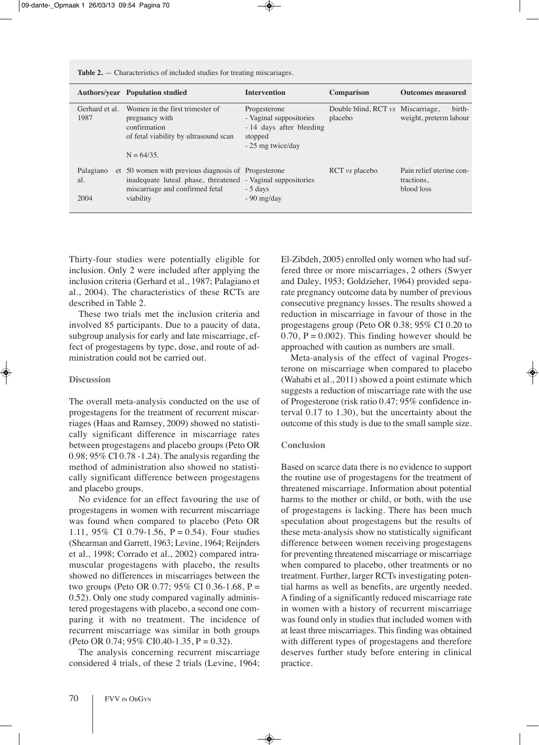|                          | <b>Authors/year</b> Population studied                                                                                                                             | <b>Intervention</b>                                                                                | <b>Comparison</b>                            | <b>Outcomes measured</b>                             |
|--------------------------|--------------------------------------------------------------------------------------------------------------------------------------------------------------------|----------------------------------------------------------------------------------------------------|----------------------------------------------|------------------------------------------------------|
| Gerhard et al.<br>1987   | Women in the first trimester of<br>pregnancy with<br>confirmation<br>of fetal viability by ultrasound scan<br>$N = 64/35$ .                                        | Progesterone<br>- Vaginal suppositories<br>-14 days after bleeding<br>stopped<br>- 25 mg twice/day | Double blind, RCT vs Miscarriage,<br>placebo | birth-<br>weight, preterm labour                     |
| Palagiano<br>al.<br>2004 | et 50 women with previous diagnosis of Progesterone<br>inadequate luteal phase, threatened - Vaginal suppositories<br>miscarriage and confirmed fetal<br>viability | $-5$ days<br>$-90$ mg/day                                                                          | $\text{RCT}$ <i>vs</i> placebo               | Pain relief uterine con-<br>tractions,<br>blood loss |

**Table 2.** — characteristics of included studies for treating miscariages.

Thirty-four studies were potentially eligible for inclusion. Only 2 were included after applying the inclusion criteria (Gerhard et al., 1987; Palagiano et al., 2004). The characteristics of these RCTs are described in Table 2.

These two trials met the inclusion criteria and involved 85 participants. Due to a paucity of data, subgroup analysis for early and late miscarriage, effect of progestagens by type, dose, and route of administration could not be carried out.

#### **Discussion**

The overall meta-analysis conducted on the use of progestagens for the treatment of recurrent miscarriages (Haas and Ramsey, 2009) showed no statistically significant difference in miscarriage rates between progestagens and placebo groups (Peto OR  $0.98$ ;  $95\%$  CI 0.78 -1.24). The analysis regarding the method of administration also showed no statistically significant difference between progestagens and placebo groups.

No evidence for an effect favouring the use of progestagens in women with recurrent miscarriage was found when compared to placebo (Peto OR 1.11, 95% CI 0.79-1.56, P = 0.54). Four studies (Shearman and Garrett, 1963; Levine, 1964; Reijnders et al., 1998; corrado et al., 2002) compared intramuscular progestagens with placebo, the results showed no differences in miscarriages between the two groups (Peto OR 0.77; 95% CI 0.36-1.68, P = 0.52). Only one study compared vaginally administered progestagens with placebo, a second one comparing it with no treatment. The incidence of recurrent miscarriage was similar in both groups (Peto OR 0.74;  $95\%$  CI0.40-1.35, P = 0.32).

The analysis concerning recurrent miscarriage considered 4 trials, of these 2 trials (Levine, 1964; El-Zibdeh, 2005) enrolled only women who had suffered three or more miscarriages, 2 others (Swyer and Daley, 1953; Goldzieher, 1964) provided separate pregnancy outcome data by number of previous consecutive pregnancy losses. The results showed a reduction in miscarriage in favour of those in the progestagens group (Peto OR 0.38; 95% CI 0.20 to 0.70,  $P = 0.002$ ). This finding however should be approached with caution as numbers are small.

Meta-analysis of the effect of vaginal Progesterone on miscarriage when compared to placebo (Wahabi et al., 2011) showed a point estimate which suggests a reduction of miscarriage rate with the use of Progesterone (risk ratio 0.47; 95% confidence interval 0.17 to 1.30), but the uncertainty about the outcome of this study is due to the small sample size.

## **Conclusion**

based on scarce data there is no evidence to support the routine use of progestagens for the treatment of threatened miscarriage. Information about potential harms to the mother or child, or both, with the use of progestagens is lacking. there has been much speculation about progestagens but the results of these meta-analysis show no statistically significant difference between women receiving progestagens for preventing threatened miscarriage or miscarriage when compared to placebo, other treatments or no treatment. Further, larger RCTs investigating potential harms as well as benefits, are urgently needed. a finding of a significantly reduced miscarriage rate in women with a history of recurrent miscarriage was found only in studies that included women with at least three miscarriages. This finding was obtained with different types of progestagens and therefore deserves further study before entering in clinical practice.